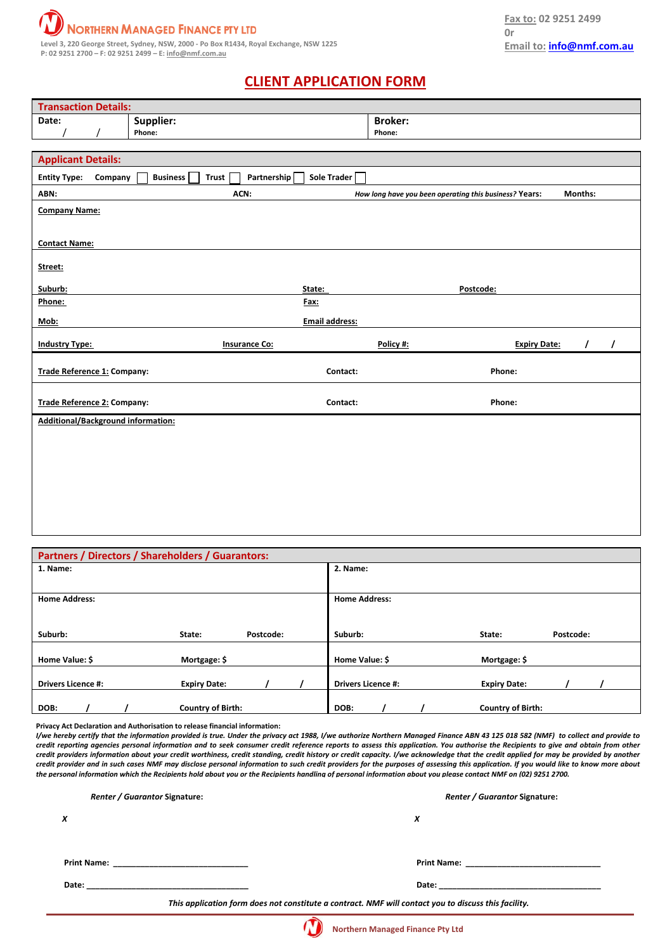

## **CLIENT APPLICATION FORM**

| <b>Transaction Details:</b>                                                                     |                      |                       |                |                               |  |  |
|-------------------------------------------------------------------------------------------------|----------------------|-----------------------|----------------|-------------------------------|--|--|
| Date:                                                                                           | Supplier:            |                       | <b>Broker:</b> |                               |  |  |
|                                                                                                 | Phone:               |                       | Phone:         |                               |  |  |
|                                                                                                 |                      |                       |                |                               |  |  |
| <b>Applicant Details:</b>                                                                       |                      |                       |                |                               |  |  |
| Sole Trader<br><b>Business</b><br>Partnership<br><b>Entity Type:</b><br>Company<br><b>Trust</b> |                      |                       |                |                               |  |  |
| ABN:<br>ACN:<br>Months:<br>How long have you been operating this business? Years:               |                      |                       |                |                               |  |  |
| <b>Company Name:</b>                                                                            |                      |                       |                |                               |  |  |
|                                                                                                 |                      |                       |                |                               |  |  |
| <b>Contact Name:</b>                                                                            |                      |                       |                |                               |  |  |
|                                                                                                 |                      |                       |                |                               |  |  |
| Street:                                                                                         |                      |                       |                |                               |  |  |
| Suburb:                                                                                         |                      | State:                | Postcode:      |                               |  |  |
| Phone:                                                                                          |                      | Fax:                  |                |                               |  |  |
| Mob:                                                                                            |                      | <b>Email address:</b> |                |                               |  |  |
| <b>Industry Type:</b>                                                                           | <b>Insurance Co:</b> |                       | Policy #:      | <b>Expiry Date:</b><br>I<br>I |  |  |
| Trade Reference 1: Company:                                                                     |                      | Contact:              | Phone:         |                               |  |  |
|                                                                                                 |                      |                       |                |                               |  |  |
| Trade Reference 2: Company:                                                                     |                      | Contact:              | Phone:         |                               |  |  |
| Additional/Background information:                                                              |                      |                       |                |                               |  |  |
|                                                                                                 |                      |                       |                |                               |  |  |
|                                                                                                 |                      |                       |                |                               |  |  |
|                                                                                                 |                      |                       |                |                               |  |  |
|                                                                                                 |                      |                       |                |                               |  |  |
|                                                                                                 |                      |                       |                |                               |  |  |
|                                                                                                 |                      |                       |                |                               |  |  |
|                                                                                                 |                      |                       |                |                               |  |  |

| Partners / Directors / Shareholders / Guarantors: |                          |           |                           |                          |           |
|---------------------------------------------------|--------------------------|-----------|---------------------------|--------------------------|-----------|
| 1. Name:                                          |                          |           | 2. Name:                  |                          |           |
|                                                   |                          |           |                           |                          |           |
| <b>Home Address:</b>                              |                          |           | <b>Home Address:</b>      |                          |           |
|                                                   |                          |           |                           |                          |           |
| Suburb:                                           | State:                   | Postcode: | Suburb:                   | State:                   | Postcode: |
|                                                   |                          |           |                           |                          |           |
|                                                   |                          |           |                           |                          |           |
| Home Value: \$                                    | Mortgage: \$             |           | Home Value: \$            | Mortgage: \$             |           |
|                                                   |                          |           |                           |                          |           |
| <b>Drivers Licence #:</b>                         | <b>Expiry Date:</b>      |           | <b>Drivers Licence #:</b> | <b>Expiry Date:</b>      |           |
|                                                   |                          |           |                           |                          |           |
| DOB:                                              | <b>Country of Birth:</b> |           | DOB:                      | <b>Country of Birth:</b> |           |

**Privacy Act Declaration and Authorisation to release financial information:**

I/we hereby certify that the information provided is true. Under the privacy act 1988, I/we authorize Northern Managed Finance ABN 43 125 018 582 (NMF) to collect and provide to credit reporting agencies personal information and to seek consumer credit reference reports to assess this application. You authorise the Recipients to give and obtain from other credit providers information about your credit worthiness, credit standing, credit history or credit capacity. I/we acknowledge that the credit applied for may be provided by another credit provider and in such cases NMF may disclose personal information to such credit providers for the purposes of assessing this application. If you would like to know more about the personal information which the Recipients hold about you or the Recipients handling of personal information about you please contact NMF on (02) 9251 2700.

| <b>Renter / Guarantor Signature:</b>                                                                          | <b>Renter / Guarantor Signature:</b>                                                                                                                                                                                           |
|---------------------------------------------------------------------------------------------------------------|--------------------------------------------------------------------------------------------------------------------------------------------------------------------------------------------------------------------------------|
| x                                                                                                             | x                                                                                                                                                                                                                              |
| Print Name: 2008 2009 2009 2009 2009 2010 2021 2022 2023 2024 2022 2023 2024 2022 2023 2024 2022 2023 2024 20 | Print Name: <u>______________</u>                                                                                                                                                                                              |
| Date:                                                                                                         | Date: the contract of the contract of the contract of the contract of the contract of the contract of the contract of the contract of the contract of the contract of the contract of the contract of the contract of the cont |
|                                                                                                               | This application form does not constitute a contract. NMF will contact you to discuss this facility.                                                                                                                           |